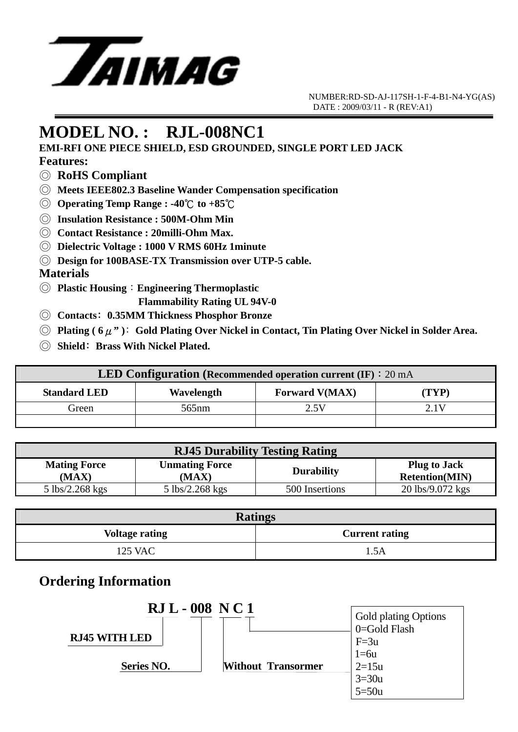

 NUMBER:RD-SD-AJ-117SH-1-F-4-B1-N4-YG(AS) DATE : 2009/03/11 - R (REV:A1)

## **MODEL NO. : RJL-008NC1**

**EMI-RFI ONE PIECE SHIELD, ESD GROUNDED, SINGLE PORT LED JACK** 

#### **Features:**

- ◎ **RoHS Compliant**
- ◎ **Meets IEEE802.3 Baseline Wander Compensation specification**
- ◎ **Operating Temp Range : -40**℃ **to +85**℃
- ◎ **Insulation Resistance : 500M-Ohm Min**
- ◎ **Contact Resistance : 20milli-Ohm Max.**
- ◎ **Dielectric Voltage : 1000 V RMS 60Hz 1minute**
- ◎ **Design for 100BASE-TX Transmission over UTP-5 cable.**

#### **Materials**

- ◎ **Plastic Housing**:**Engineering Thermoplastic** 
	- **Flammability Rating UL 94V-0**
- ◎ **Contacts**﹕**0.35MM Thickness Phosphor Bronze**
- ◎ **Plating ( 6**μ**" )**﹕**Gold Plating Over Nickel in Contact, Tin Plating Over Nickel in Solder Area.**
- ◎ **Shield**﹕**Brass With Nickel Plated.**

| <b>LED Configuration (Recommended operation current (IF): 20 mA</b> |                   |                       |       |  |
|---------------------------------------------------------------------|-------------------|-----------------------|-------|--|
| <b>Standard LED</b>                                                 | Wavelength        | <b>Forward V(MAX)</b> | (TYP) |  |
| Green                                                               | 565 <sub>nm</sub> | 2.5V                  | 2 I V |  |
|                                                                     |                   |                       |       |  |

| <b>RJ45 Durability Testing Rating</b> |                                         |                   |                                              |  |
|---------------------------------------|-----------------------------------------|-------------------|----------------------------------------------|--|
| <b>Mating Force</b><br>(MAX)          | <b>Unmating Force</b><br>(MAX)          | <b>Durability</b> | <b>Plug to Jack</b><br><b>Retention(MIN)</b> |  |
| $5 \text{ lbs}/2.268 \text{ kgs}$     | $5 \frac{\text{lbs}}{2.268 \text{kgs}}$ | 500 Insertions    | 20 lbs/9.072 kgs                             |  |

| <b>Ratings</b>        |                       |  |  |
|-----------------------|-----------------------|--|--|
| <b>Voltage rating</b> | <b>Current rating</b> |  |  |
| <b>125 VAC</b>        | 5Δ                    |  |  |

### **Ordering Information**